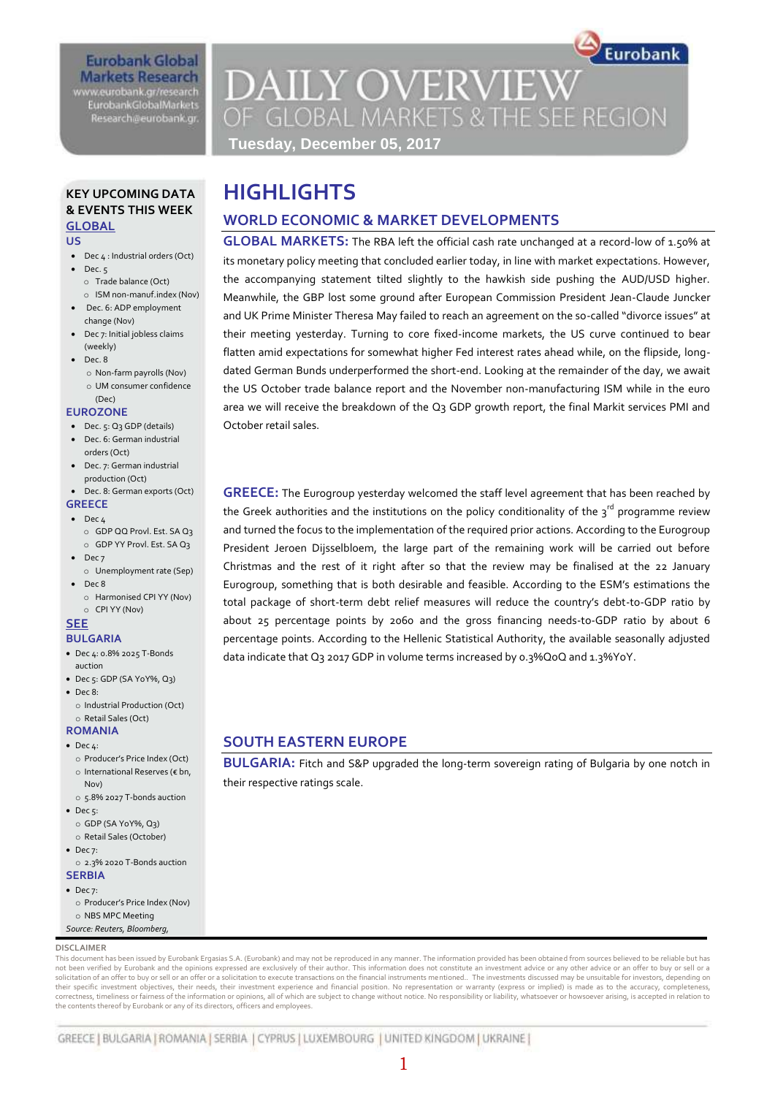# **Eurobank Global Markets Research** www.eurobank.gr/research

**EurobankGlobalMarkets** Research@eurobank.gr

# **DAILY OVERVIEW** OF GLOBAL MARKETS & THE SEE REGION

Eurobank

**GLOBAL MARKETS:** The RBA left the official cash rate unchanged at a record-low of 1.50% at its monetary policy meeting that concluded earlier today, in line with market expectations. However, the accompanying statement tilted slightly to the hawkish side pushing the AUD/USD higher. Meanwhile, the GBP lost some ground after European Commission President Jean-Claude Juncker and UK Prime Minister Theresa May failed to reach an agreement on the so-called "divorce issues" at their meeting yesterday. Turning to core fixed-income markets, the US curve continued to bear flatten amid expectations for somewhat higher Fed interest rates ahead while, on the flipside, longdated German Bunds underperformed the short-end. Looking at the remainder of the day, we await the US October trade balance report and the November non-manufacturing ISM while in the euro area we will receive the breakdown of the Q3 GDP growth report, the final Markit services PMI and

**GREECE:** The Eurogroup yesterday welcomed the staff level agreement that has been reached by the Greek authorities and the institutions on the policy conditionality of the  $3^{rd}$  programme review and turned the focus to the implementation of the required prior actions. According to the Eurogroup President Jeroen Dijsselbloem, the large part of the remaining work will be carried out before Christmas and the rest of it right after so that the review may be finalised at the 22 January Eurogroup, something that is both desirable and feasible. According to the ESM's estimations the total package of short-term debt relief measures will reduce the country's debt-to-GDP ratio by about 25 percentage points by 2060 and the gross financing needs-to-GDP ratio by about 6 percentage points. According to the Hellenic Statistical Authority, the available seasonally adjusted

**BULGARIA:** Fitch and S&P upgraded the long-term sovereign rating of Bulgaria by one notch in

data indicate that Q3 2017 GDP in volume terms increased by 0.3%QoQ and 1.3%YoY.

**Tuesday, December 05, 2017**

**WORLD ECONOMIC & MARKET DEVELOPMENTS**

**HIGHLIGHTS**

October retail sales.

# **KEY UPCOMING DATA & EVENTS THIS WEEK GLOBAL**

#### **US**

- Dec 4 : Industrial orders (Oct)
- $\bullet$  Dec. 5 o Trade balance (Oct)
- o ISM non-manuf.index (Nov) Dec. 6: ADP employment change (Nov)
- Dec 7: Initial jobless claims (weekly)
- $\bullet$  Dec. 8
	- o Non-farm payrolls (Nov) o UM consumer confidence
	- (Dec)

## **EUROZONE**

- Dec. 5: Q3 GDP (details) **•** Dec. 6: German industrial
- orders (Oct) Dec. 7: German industrial
- production (Oct)
- Dec. 8: German exports (Oct)

#### **GREECE**  $\bullet$  Dec  $\mu$

- o GDP QQ Provl. Est. SA Q3
- o GDP YY Provl. Est. SA Q3  $\bullet$  Dec 7
- o Unemployment rate (Sep)  $\bullet$  Dec 8
	- o Harmonised CPI YY (Nov)
	- o CPI YY (Nov)

# **SEE**

- **BULGARIA**
- Dec 4: 0.8% 2025 T-Bonds auction
- Dec 5: GDP (SA YoY%, Q3)  $\bullet$  Dec 8:
- o Industrial Production (Oct) o Retail Sales (Oct)

# **ROMANIA**

- $\bullet$  Dec  $\mu$ :
- o Producer's Price Index (Oct) o International Reserves (€ bn, Nov)
- o 5.8% 2027 T-bonds auction  $\bullet$  Dec 5:
- o GDP (SA YoY%, Q3) o Retail Sales (October)
- $\bullet$  Dec 7:
- o 2.3% 2020 T-Bonds auction **SERBIA**
- $\bullet$  Dec 7:
- o Producer's Price Index (Nov) o NBS MPC Meeting *Source: Reuters, Bloomberg,*

# **DISCLAIMER**

This document has been issued by Eurobank Ergasias S.A. (Eurobank) and may not be reproduced in any manner. The information provided has been obtained from sources believed to be reliable but has not been verified by Eurobank and the opinions expressed are exclusively of their author. This information does not constitute an investment advice or any other advice or an offer to buy or sell or a solicitation of an offer to buy or sell or an offer or a solicitation to execute transactions on the financial instruments mentioned.. The investments discussed may be unsuitable for investors, depending on<br>their specific correctness, timeliness or fairness of the information or opinions, all of which are subject to change without notice. No responsibility or liability, whatsoever or howsoever arising, is accepted in relation to the contents thereof by Eurobank or any of its directors, officers and employees.

# GREECE | BULGARIA | ROMANIA | SERBIA | CYPRUS | LUXEMBOURG | UNITED KINGDOM | UKRAINE |

**SOUTH EASTERN EUROPE**

their respective ratings scale.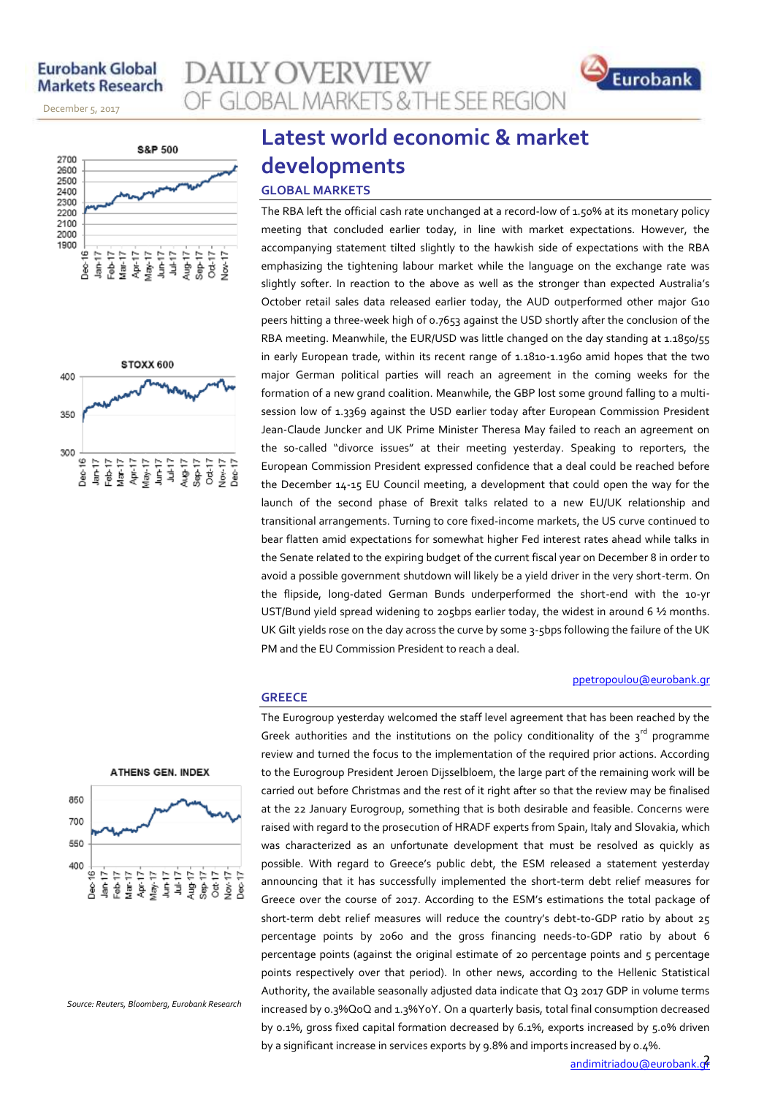# **Eurobank Global Markets Research**

November 14, 2013

December 5, 2017





# **ATHENS GEN. INDEX** 850 700 550 400 Dec 16+<br>Jan-17+

*Source: Reuters, Bloomberg, Eurobank Research*

# **Latest world economic & market developments**

**GLOBAL MARKETS & THE SEE REGION** 

# **GLOBAL MARKETS**

**AILY OVERVIEW** 

**GREECE**

The RBA left the official cash rate unchanged at a record-low of 1.50% at its monetary policy meeting that concluded earlier today, in line with market expectations. However, the accompanying statement tilted slightly to the hawkish side of expectations with the RBA emphasizing the tightening labour market while the language on the exchange rate was slightly softer. In reaction to the above as well as the stronger than expected Australia's October retail sales data released earlier today, the AUD outperformed other major G10 peers hitting a three-week high of 0.7653 against the USD shortly after the conclusion of the RBA meeting. Meanwhile, the EUR/USD was little changed on the day standing at 1.1850/55 in early European trade, within its recent range of 1.1810-1.1960 amid hopes that the two major German political parties will reach an agreement in the coming weeks for the formation of a new grand coalition. Meanwhile, the GBP lost some ground falling to a multisession low of 1.3369 against the USD earlier today after European Commission President Jean-Claude Juncker and UK Prime Minister Theresa May failed to reach an agreement on the so-called "divorce issues" at their meeting yesterday. Speaking to reporters, the European Commission President expressed confidence that a deal could be reached before the December 14-15 EU Council meeting, a development that could open the way for the launch of the second phase of Brexit talks related to a new EU/UK relationship and transitional arrangements. Turning to core fixed-income markets, the US curve continued to bear flatten amid expectations for somewhat higher Fed interest rates ahead while talks in the Senate related to the expiring budget of the current fiscal year on December 8 in order to avoid a possible government shutdown will likely be a yield driver in the very short-term. On the flipside, long-dated German Bunds underperformed the short-end with the 10-yr UST/Bund yield spread widening to 205bps earlier today, the widest in around 6 1/2 months. UK Gilt yields rose on the day across the curve by some 3-5bps following the failure of the UK PM and the EU Commission President to reach a deal.

## [ppetropoulou@eurobank.gr](mailto:ppetropoulou@eurobank.gr)

Eurobank

The Eurogroup yesterday welcomed the staff level agreement that has been reached by the Greek authorities and the institutions on the policy conditionality of the  $3^{rd}$  programme review and turned the focus to the implementation of the required prior actions. According to the Eurogroup President Jeroen Dijsselbloem, the large part of the remaining work will be carried out before Christmas and the rest of it right after so that the review may be finalised at the 22 January Eurogroup, something that is both desirable and feasible. Concerns were raised with regard to the prosecution of HRADF experts from Spain, Italy and Slovakia, which was characterized as an unfortunate development that must be resolved as quickly as possible. With regard to Greece's public debt, the ESM released a statement yesterday announcing that it has successfully implemented the short-term debt relief measures for Greece over the course of 2017. According to the ESM's estimations the total package of short-term debt relief measures will reduce the country's debt-to-GDP ratio by about 25 percentage points by 2060 and the gross financing needs-to-GDP ratio by about 6 percentage points (against the original estimate of 20 percentage points and 5 percentage points respectively over that period). In other news, according to the Hellenic Statistical Authority, the available seasonally adjusted data indicate that Q3 2017 GDP in volume terms increased by 0.3%QoQ and 1.3%YoY. On a quarterly basis, total final consumption decreased by 0.1%, gross fixed capital formation decreased by 6.1%, exports increased by 5.0% driven by a significant increase in services exports by 9.8% and imports increased by 0.4%.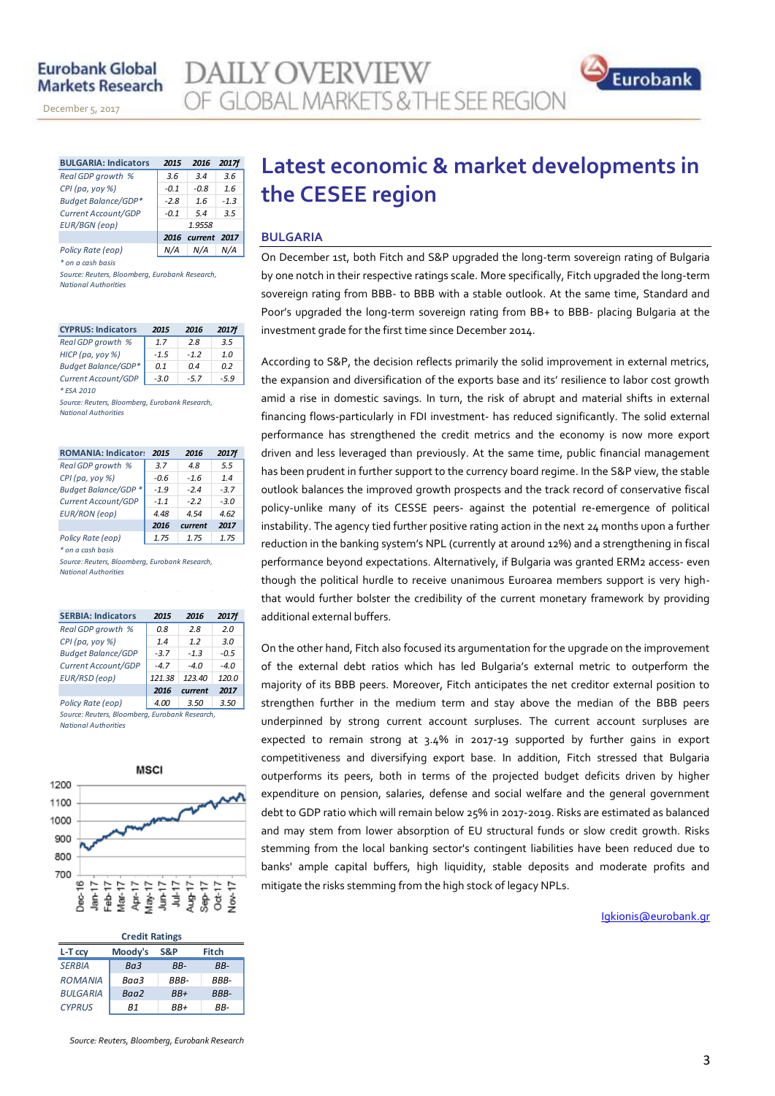# **Eurobank Global Markets Research**

November 14, 2013

December 5, 2017



| <b>BULGARIA: Indicators</b> | 2015   | 2016              | 2017f  |  |  |  |
|-----------------------------|--------|-------------------|--------|--|--|--|
| Real GDP growth %           | 3.6    | 3.4               | 3.6    |  |  |  |
| CPI (pa, yoy %)             | $-0.1$ | -0.8              | 1.6    |  |  |  |
| <b>Budget Balance/GDP*</b>  | $-2.8$ | 1.6               | $-1.3$ |  |  |  |
| Current Account/GDP         | $-0.1$ | 5.4               | 3.5    |  |  |  |
| <b>EUR/BGN</b> (eop)        | 1.9558 |                   |        |  |  |  |
|                             |        | 2016 current 2017 |        |  |  |  |
| Policy Rate (eop)           |        | N/A               |        |  |  |  |

*\* on a cash basis*

*Source: Reuters, Bloomberg, Eurobank Research, National Authorities*

| <b>CYPRUS: Indicators</b>  | 2015           | 2016   | <b>2017f</b> |
|----------------------------|----------------|--------|--------------|
| Real GDP growth %          | 17             | 28     | 3.5          |
| HICP (pa, yoy %)           | $-1.5$         | $-12$  | 1.0          |
| <b>Budget Balance/GDP*</b> | 0 <sub>1</sub> | 04     | 02           |
| Current Account/GDP        | $-3.0$         | $-5.7$ | -59          |
| * FSA 2010                 |                |        |              |

*Source: Reuters, Bloomberg, Eurobank Research, National Authorities*

| <b>ROMANIA: Indicators</b>                     | 2015   | 2016    | <b>2017f</b> |  |  |  |  |  |  |
|------------------------------------------------|--------|---------|--------------|--|--|--|--|--|--|
| Real GDP growth %                              | 3.7    | 48      | 5.5          |  |  |  |  |  |  |
| CPI (pa, yoy %)                                | $-0.6$ | $-1.6$  | 14           |  |  |  |  |  |  |
| Budget Balance/GDP *                           | $-1.9$ | $-24$   | $-37$        |  |  |  |  |  |  |
| Current Account/GDP                            | $-1.1$ | $-22$   | $-3.0$       |  |  |  |  |  |  |
| <b>EUR/RON</b> (eop)                           | 4.48   | 454     | 4.62         |  |  |  |  |  |  |
|                                                | 2016   | current | 2017         |  |  |  |  |  |  |
| Policy Rate (eop)                              | 1.75   | 1.75    | 1.75         |  |  |  |  |  |  |
| * on a cash basis                              |        |         |              |  |  |  |  |  |  |
| Source: Reuters, Bloomberg, Eurobank Research, |        |         |              |  |  |  |  |  |  |
| <b>National Authorities</b>                    |        |         |              |  |  |  |  |  |  |

| <b>SERBIA: Indicators</b> | 2015   | 2016    | 2017f  |
|---------------------------|--------|---------|--------|
| Real GDP growth %         | 0.8    | 2.8     | 2.0    |
| $CPI(pa, yoy \%)$         | 1.4    | 12      | 3.0    |
| <b>Budget Balance/GDP</b> | $-3.7$ | $-1.3$  | $-0.5$ |
| Current Account/GDP       | $-4.7$ | $-4.0$  | $-4.0$ |
| EUR/RSD (eop)             | 121.38 | 123.40  | 120.0  |
|                           | 2016   | current | 2017   |
| Policy Rate (eop)         | 4.00   | 3.50    | 3.50   |
|                           | _ _    |         |        |

*Source: Reuters, Bloomberg, Eurobank Research, National Authorities*



| <b>Credit Ratings</b> |         |       |       |  |  |  |  |  |
|-----------------------|---------|-------|-------|--|--|--|--|--|
| L-T ccy               | Moody's | S&P   | Fitch |  |  |  |  |  |
| <b>SERBIA</b>         | Ba3     | RR-   | RR-   |  |  |  |  |  |
| <b>ROMANIA</b>        | Baa3    | RRR-  | RRR-  |  |  |  |  |  |
| <b>BULGARIA</b>       | Baa2    | $BB+$ | BBB-  |  |  |  |  |  |
| <b>CYPRUS</b>         | R1      | RR+   | RR-   |  |  |  |  |  |

#### *Source: Reuters, Bloomberg, Eurobank Research*

# **Latest economic & market developments in the CESEE region**

## **BULGARIA**

On December 1st, both Fitch and S&P upgraded the long-term sovereign rating of Bulgaria by one notch in their respective ratings scale. More specifically, Fitch upgraded the long-term sovereign rating from BBB- to BBB with a stable outlook. At the same time, Standard and Poor's upgraded the long-term sovereign rating from BB+ to BBB- placing Bulgaria at the investment grade for the first time since December 2014.

According to S&P, the decision reflects primarily the solid improvement in external metrics, the expansion and diversification of the exports base and its' resilience to labor cost growth amid a rise in domestic savings. In turn, the risk of abrupt and material shifts in external financing flows-particularly in FDI investment- has reduced significantly. The solid external performance has strengthened the credit metrics and the economy is now more export driven and less leveraged than previously. At the same time, public financial management has been prudent in further support to the currency board regime. In the S&P view, the stable outlook balances the improved growth prospects and the track record of conservative fiscal policy-unlike many of its CESSE peers- against the potential re-emergence of political instability. The agency tied further positive rating action in the next 24 months upon a further reduction in the banking system's NPL (currently at around 12%) and a strengthening in fiscal performance beyond expectations. Alternatively, if Bulgaria was granted ERM2 access- even though the political hurdle to receive unanimous Euroarea members support is very highthat would further bolster the credibility of the current monetary framework by providing additional external buffers.

On the other hand, Fitch also focused its argumentation for the upgrade on the improvement of the external debt ratios which has led Bulgaria's external metric to outperform the majority of its BBB peers. Moreover, Fitch anticipates the net creditor external position to strengthen further in the medium term and stay above the median of the BBB peers underpinned by strong current account surpluses. The current account surpluses are expected to remain strong at 3.4% in 2017-19 supported by further gains in export competitiveness and diversifying export base. In addition, Fitch stressed that Bulgaria outperforms its peers, both in terms of the projected budget deficits driven by higher expenditure on pension, salaries, defense and social welfare and the general government debt to GDP ratio which will remain below 25% in 2017-2019. Risks are estimated as balanced and may stem from lower absorption of EU structural funds or slow credit growth. Risks stemming from the local banking sector's contingent liabilities have been reduced due to banks' ample capital buffers, high liquidity, stable deposits and moderate profits and mitigate the risks stemming from the high stock of legacy NPLs.

Igkionis@eurobank.gr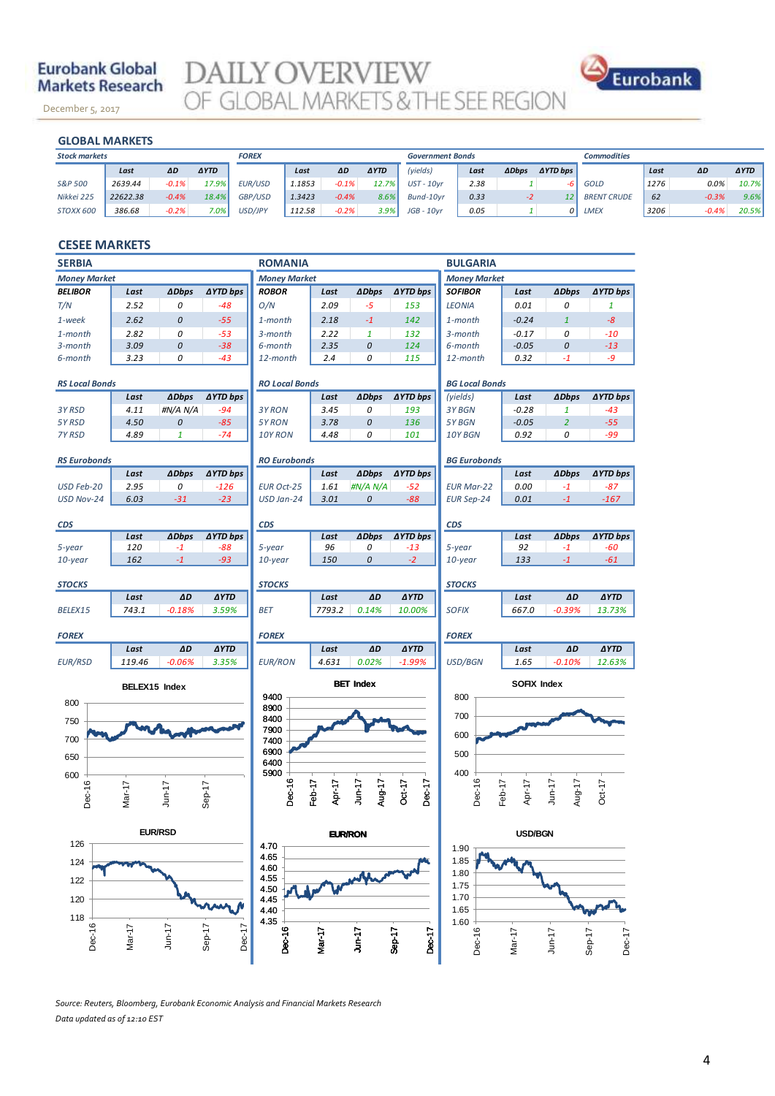# **Eurobank Global Markets Research**

December 5, 2017

**DAILY OVERVIEW**<br>OF GLOBAL MARKETS & THE SEE REGION



# **GLOBAL MARKETS**

November 14, 2013

| <b>GLOBAL MARKETS</b>                |          |         |             |                |                         |         |             |              |                    |              |                 |                    |      |         |             |
|--------------------------------------|----------|---------|-------------|----------------|-------------------------|---------|-------------|--------------|--------------------|--------------|-----------------|--------------------|------|---------|-------------|
| <b>Stock markets</b><br><b>FOREX</b> |          |         |             |                | <b>Government Bonds</b> |         |             |              | <b>Commodities</b> |              |                 |                    |      |         |             |
|                                      | Last     | ΔD      | <b>AYTD</b> |                | Last                    | ΔD      | <b>AYTD</b> | (yields)     | Last               | <b>ADbps</b> | <b>AYTD bps</b> |                    | Last | AD      | <b>AYTD</b> |
| S&P 500                              | 2639.44  | $-0.1%$ | 17.9%       | <b>EUR/USD</b> | 1.1853                  | $-0.1%$ | 12.7%       | $UST - 10vr$ | 2.38               |              | -b.             | GOLD               | 1276 | 0.0%    | 10.7%       |
| Nikkei 225                           | 22622.38 | $-0.4%$ | 18.4%       | GBP/USD        | 1.3423                  | $-0.4%$ | 8.6%        | Bund-10vr    | 0.33               | $-2$         | 12              | <b>BRENT CRUDE</b> | 62   | $-0.3%$ | 9.6%        |
| STOXX 600                            | 386.68   | $-0.2%$ | $7.0\%$     | USD/JPY        | 112.58                  | $-0.2%$ | 3.9%        | $JGB - 10yr$ | 0.05               |              | $\Omega$        | <b>LMEX</b>        | 3206 | $-0.4%$ | 20.5%       |
|                                      |          |         |             |                |                         |         |             |              |                    |              |                 |                    |      |         |             |

# **CESEE MARKETS**

| <b>SERBIA</b>         |                      |                |                  | <b>ROMANIA</b>                             |                  |                     |                    | <b>BULGARIA</b>       |                  |                     |                 |  |
|-----------------------|----------------------|----------------|------------------|--------------------------------------------|------------------|---------------------|--------------------|-----------------------|------------------|---------------------|-----------------|--|
| <b>Money Market</b>   |                      |                |                  | <b>Money Market</b><br><b>Money Market</b> |                  |                     |                    |                       |                  |                     |                 |  |
| <b>BELIBOR</b>        | Last                 | <b>ADbps</b>   | <b>AYTD bps</b>  | <b>ROBOR</b>                               | Last             | <b>ADbps</b>        | <b>AYTD bps</b>    | <b>SOFIBOR</b>        | Last             | <b>ADbps</b>        | <b>∆YTD bps</b> |  |
| T/N                   | 2.52                 | 0              | $-48$            | O/N                                        | 2.09             | -5                  | 153                | <b>LEONIA</b>         | 0.01             | 0                   | 1               |  |
| 1-week                | 2.62                 | 0              | $-55$            | 1-month                                    | 2.18             | $-1$                | 142                | 1-month               | $-0.24$          | $\mathbf{1}$        | $-8$            |  |
| 1-month               | 2.82                 | 0              | $-53$            | 3-month                                    | 2.22             | $\mathbf{1}$        | 132                | 3-month               | $-0.17$          | 0                   | $-10$           |  |
| 3-month               | 3.09                 | 0              | $-38$            | 6-month                                    | 2.35             | 0                   | 124                | 6-month               | $-0.05$          | 0                   | $-13$           |  |
| 6-month               | 3.23                 | 0              | $-43$            | 12-month                                   | 2.4              | 0                   | 115                | 12-month              | 0.32             | $-1$                | -9              |  |
| <b>RS Local Bonds</b> |                      |                |                  | <b>RO Local Bonds</b>                      |                  |                     |                    | <b>BG Local Bonds</b> |                  |                     |                 |  |
|                       | Last                 | <b>ADbps</b>   | <b>∆YTD bps</b>  |                                            | Last             | <b>ADbps</b>        | <b>AYTD bps</b>    | (yields)              | Last             | <b>ADbps</b>        | <b>AYTD bps</b> |  |
| 3Y RSD                | 4.11                 | #N/A N/A       | $-94$            | 3Y RON                                     | 3.45             | 0                   | 193                | 3Y BGN                | $-0.28$          | 1                   | $-43$           |  |
| 5Y RSD                | 4.50                 | 0              | $-85$            | 5Y RON                                     | 3.78             | 0                   | 136                | 5Y BGN                | $-0.05$          | $\overline{a}$      | $-55$           |  |
| 7Y RSD                | 4.89                 | $\mathbf{1}$   | $-74$            | 10Y RON                                    | 4.48             | 0                   | 101                | 10Y BGN               | 0.92             | 0                   | -99             |  |
| <b>RS Eurobonds</b>   |                      |                |                  | <b>RO Eurobonds</b>                        |                  |                     |                    | <b>BG Eurobonds</b>   |                  |                     |                 |  |
|                       | Last                 | <b>ADbps</b>   | ∆YTD bps         |                                            | Last             | <b>ADbps</b>        | <b>AYTD bps</b>    |                       | Last             | <b>ADbps</b>        | <b>∆YTD bps</b> |  |
| USD Feb-20            | 2.95                 | 0              | $-126$           | <b>EUR Oct-25</b>                          | 1.61             | #N/A N/A            | $-52$              | <b>EUR Mar-22</b>     | 0.00             | $-1$                | $-87$           |  |
| USD Nov-24            | 6.03                 | $-31$          | $-23$            | USD Jan-24                                 | 3.01             | 0                   | $-88$              | <b>EUR Sep-24</b>     | 0.01             | $-1$                | $-167$          |  |
|                       |                      |                |                  | <b>CDS</b>                                 |                  |                     |                    |                       |                  |                     |                 |  |
| <b>CDS</b>            | Last                 | <b>ADbps</b>   | ∆YTD bps         |                                            | Last             | <b>ADbps</b>        | <b>AYTD bps</b>    | <b>CDS</b>            | Last             | <b>ADbps</b>        | ∆YTD bps        |  |
| 5-year                | 120                  | $-1$           | $-88$            | 5-year                                     | 96               | 0                   | $-13$              | 5-year                | 92               | $-1$                | -60             |  |
| 10-year               | 162                  | $-1$           | $-93$            | 10-year                                    | 150              | 0                   | $-2$               | 10-year               | 133              | $-1$                | $-61$           |  |
| <b>STOCKS</b>         |                      |                |                  | <b>STOCKS</b>                              |                  |                     |                    | <b>STOCKS</b>         |                  |                     |                 |  |
|                       | Last                 | ΔD             | <b>AYTD</b>      |                                            | Last             | ΔD                  | <b>AYTD</b>        |                       | Last             | ΔD                  | <b>AYTD</b>     |  |
| BELEX15               | 743.1                | $-0.18%$       | 3.59%            | <b>BET</b>                                 | 7793.2           | 0.14%               | 10.00%             | <b>SOFIX</b>          | 667.0            | $-0.39%$            | 13.73%          |  |
| <b>FOREX</b>          |                      |                |                  | <b>FOREX</b>                               |                  |                     |                    | <b>FOREX</b>          |                  |                     |                 |  |
|                       | Last                 | ΔD             | <b>AYTD</b>      |                                            | Last             | ΔD                  | <b>AYTD</b>        |                       | Last             | ΔD                  | <b>AYTD</b>     |  |
| <b>EUR/RSD</b>        | 119.46               | $-0.06%$       | 3.35%            | <b>EUR/RON</b>                             | 4.631            | 0.02%               | $-1.99%$           | USD/BGN               | 1.65             | $-0.10%$            | 12.63%          |  |
|                       | <b>BELEX15</b> Index |                |                  |                                            |                  | <b>BET Index</b>    |                    |                       | SOFIX Index      |                     |                 |  |
| 800                   |                      |                |                  | 9400                                       |                  |                     |                    | 800                   |                  |                     |                 |  |
|                       |                      |                |                  | 8900<br>8400                               |                  |                     |                    | 700                   |                  |                     |                 |  |
| 750                   |                      |                |                  | 7900                                       |                  |                     |                    |                       |                  |                     |                 |  |
| 700                   |                      |                |                  | 7400                                       |                  |                     |                    | 600                   |                  |                     |                 |  |
| 650                   |                      |                |                  | 6900                                       |                  |                     |                    | 500                   |                  |                     |                 |  |
|                       |                      |                |                  | 6400<br>5900                               |                  |                     |                    | 400                   |                  |                     |                 |  |
| 600                   |                      |                |                  |                                            |                  |                     |                    |                       |                  |                     |                 |  |
| Dec-16                | Mar-17               | $J$ un-17      | $Sep-17$         | Dec-16                                     | Feb-17<br>Apr-17 | $J$ un-17<br>Aug-17 | $Oct-17$<br>Dec-17 | Dec-16                | Feb-17<br>Apr-17 | Aug-17<br>$J$ un-17 | $Oct-17$        |  |
|                       |                      |                |                  |                                            |                  |                     |                    |                       |                  |                     |                 |  |
|                       |                      | <b>EUR/RSD</b> |                  |                                            |                  | <b>EUR/RON</b>      |                    |                       | <b>USD/BGN</b>   |                     |                 |  |
| 126                   |                      |                |                  | 4.70                                       |                  |                     |                    | 1.90                  |                  |                     |                 |  |
| 124                   |                      |                |                  | 4.65<br>4.60                               |                  |                     |                    | 1.85                  |                  |                     |                 |  |
| 122                   |                      |                |                  | 4.55                                       |                  |                     |                    | 1.80                  |                  |                     |                 |  |
|                       |                      |                |                  | 4.50                                       |                  |                     |                    | 1.75                  |                  |                     |                 |  |
| 120                   |                      |                |                  | 4.45<br>4.40                               |                  |                     |                    | 1.70<br>1.65          |                  |                     |                 |  |
| 118                   |                      |                |                  | 4.35                                       |                  |                     |                    | 1.60                  |                  |                     |                 |  |
| Dec-16                | $Mar-17$             | $J$ un-17      | Dec-17<br>Sep-17 | Dec-16                                     | Mar-17           | $J$ un-17           | Dec-17<br>Sep-17   | Dec-16                | Mar-17           | $Jun-17$            | Sep-17          |  |
|                       |                      |                |                  |                                            |                  |                     |                    |                       |                  |                     | Dec-17          |  |
|                       |                      |                |                  |                                            |                  |                     |                    |                       |                  |                     |                 |  |

*Source: Reuters, Bloomberg, Eurobank Economic Analysis and Financial Markets Research Data updated as of 12:10 EST*